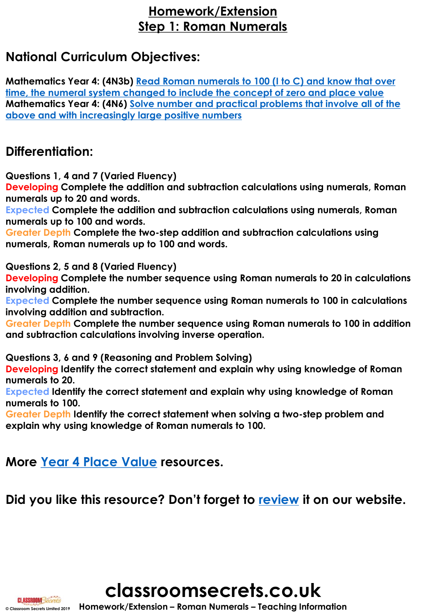# **Homework/Extension Step 1: Roman Numerals**

# **National Curriculum Objectives:**

**Mathematics Year 4: (4N3b) Read Roman numerals to 100 (I to C) and know that over [time, the numeral system changed to include the concept of zero and place value](https://classroomsecrets.co.uk/content-domain-filter/?fwp_contentdomain=4n3b) [Mathematics Year 4: \(4N6\) Solve number and practical problems that involve all of](https://classroomsecrets.co.uk/content-domain-filter/?fwp_contentdomain=4n6) the above and with increasingly large positive numbers**

# **Differentiation:**

**Questions 1, 4 and 7 (Varied Fluency)**

**Developing Complete the addition and subtraction calculations using numerals, Roman numerals up to 20 and words.**

**Expected Complete the addition and subtraction calculations using numerals, Roman numerals up to 100 and words.**

**Greater Depth Complete the two-step addition and subtraction calculations using numerals, Roman numerals up to 100 and words.**

**Questions 2, 5 and 8 (Varied Fluency)**

**Developing Complete the number sequence using Roman numerals to 20 in calculations involving addition.** 

**Expected Complete the number sequence using Roman numerals to 100 in calculations involving addition and subtraction.**

**Greater Depth Complete the number sequence using Roman numerals to 100 in addition and subtraction calculations involving inverse operation.**

**Questions 3, 6 and 9 (Reasoning and Problem Solving)**

**Developing Identify the correct statement and explain why using knowledge of Roman numerals to 20.**

**Expected Identify the correct statement and explain why using knowledge of Roman numerals to 100.**

**Greater Depth Identify the correct statement when solving a two-step problem and explain why using knowledge of Roman numerals to 100.**

**More [Year 4 Place Value](https://classroomsecrets.co.uk/category/maths/year-4/autumn-block-1-place-value-year-4/) resources.**

**Did you like this resource? Don't forget to [review](https://classroomsecrets.co.uk/free-roman-numerals-homework-extension-year-4-place-value) it on our website.**

**classroomsecrets.co.uk**

**© Classroom Secrets Limited 2019 Homework/Extension – Roman Numerals – Teaching Information**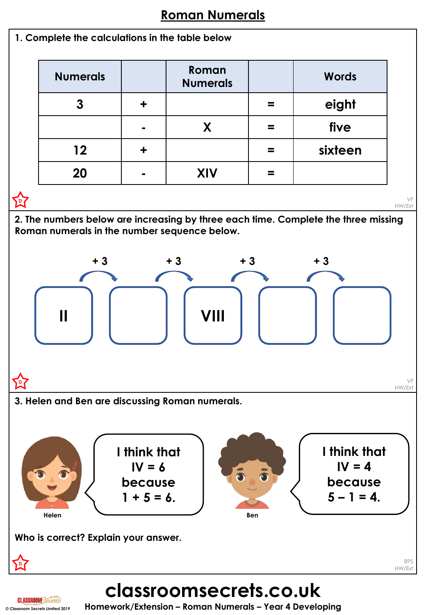# **Roman Numerals**

## **1. Complete the calculations in the table below**

| <b>Numerals</b> | Roman<br><b>Numerals</b> | <b>Words</b> |
|-----------------|--------------------------|--------------|
| 3               |                          | eight        |
|                 |                          | five         |
| 12              |                          | sixteen      |
| 20              | XIV                      |              |

**2. The numbers below are increasing by three each time. Complete the three missing Roman numerals in the number sequence below.**



RPS HW/Ext

VF HW/Ext

**classroomsecrets.co.uk**



**D**

**D**

**© Classroom Secrets Limited 2019 Homework/Extension – Roman Numerals – Year 4 Developing**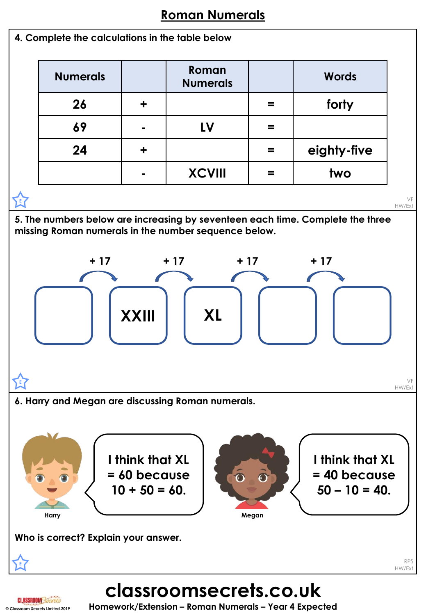# **Roman Numerals**



**classroomsecrets.co.uk © Classroom Secrets Limited 2019 Homework/Extension – Roman Numerals – Year 4 Expected**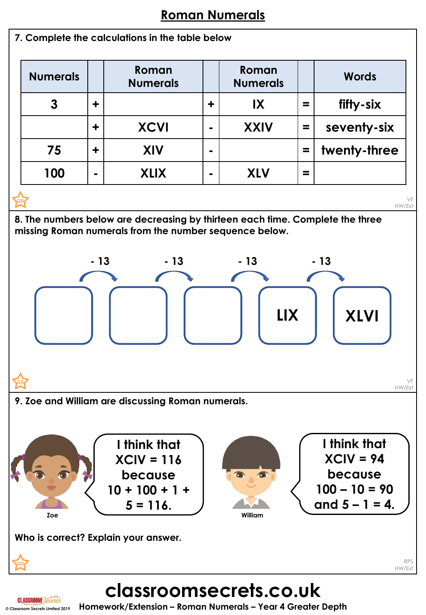# **Roman Numerals**

| <b>Roman Numerals</b> |                 |            |                                                                               |                      |                          |   |                                                                                |
|-----------------------|-----------------|------------|-------------------------------------------------------------------------------|----------------------|--------------------------|---|--------------------------------------------------------------------------------|
|                       |                 |            | 7. Complete the calculations in the table below                               |                      |                          |   |                                                                                |
|                       | <b>Numerals</b> |            | Roman<br><b>Numerals</b>                                                      |                      | Roman<br><b>Numerals</b> |   | Words                                                                          |
|                       | 3               | $\ddagger$ |                                                                               | $\ddot{\phantom{1}}$ | IX                       | = | fifty-six                                                                      |
|                       |                 | $\ddagger$ | <b>XCVI</b>                                                                   | $\blacksquare$       | <b>XXIV</b>              | Ξ | seventy-six                                                                    |
|                       | 75              | $\ddagger$ | XIV                                                                           | $\blacksquare$       |                          | = | twenty-three                                                                   |
|                       | 100             |            | <b>XLIX</b>                                                                   | $\blacksquare$       | <b>XLV</b>               | = |                                                                                |
|                       |                 |            |                                                                               |                      |                          |   | VF<br>HW/Ext                                                                   |
|                       |                 |            | 8. The numbers below are decreasing by thirteen each time. Complete the three |                      |                          |   |                                                                                |
|                       |                 |            | missing Roman numerals from the number sequence below.                        |                      |                          |   |                                                                                |
|                       |                 | - 13       | $-13$                                                                         |                      | $-13$                    |   | - 13                                                                           |
|                       |                 |            |                                                                               |                      |                          |   |                                                                                |
|                       |                 |            |                                                                               |                      | <b>LIX</b>               |   | <b>XLVI</b>                                                                    |
|                       |                 |            |                                                                               |                      |                          |   | HW/Ext                                                                         |
|                       |                 |            | 9. Zoe and William are discussing Roman numerals.                             |                      |                          |   |                                                                                |
|                       |                 |            |                                                                               |                      |                          |   |                                                                                |
|                       |                 |            | I think that<br>$XCIV = 116$<br>because<br>$10 + 100 + 1 +$<br>$5 = 116.$     |                      |                          |   | I think that<br>$XCIV = 94$<br>because<br>$100 - 10 = 90$<br>and $5 - 1 = 4$ . |

**Who is correct? Explain your answer.**

**Zoe William**

RPS HW/Ext

# **classroomsecrets.co.uk**



**GD**

**© Classroom Secrets Limited 2019 Homework/Extension – Roman Numerals – Year 4 Greater Depth**